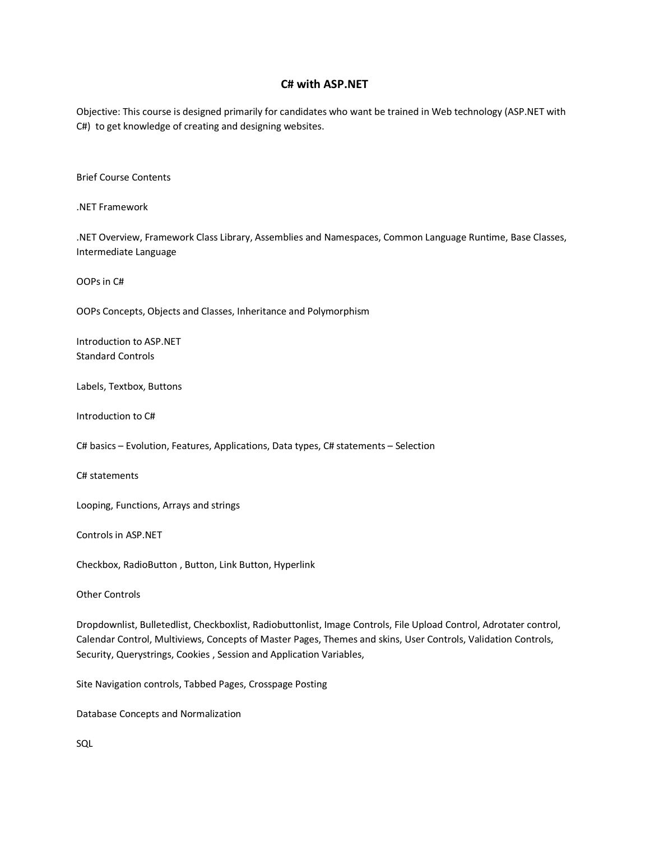## **C# with ASP.NET**

Objective: This course is designed primarily for candidates who want be trained in Web technology (ASP.NET with C#) to get knowledge of creating and designing websites.

Brief Course Contents

.NET Framework

.NET Overview, Framework Class Library, Assemblies and Namespaces, Common Language Runtime, Base Classes, Intermediate Language

OOPs in C#

OOPs Concepts, Objects and Classes, Inheritance and Polymorphism

Introduction to ASP.NET Standard Controls

Labels, Textbox, Buttons

Introduction to C#

C# basics – Evolution, Features, Applications, Data types, C# statements – Selection

C# statements

Looping, Functions, Arrays and strings

Controls in ASP.NET

Checkbox, RadioButton , Button, Link Button, Hyperlink

Other Controls

Dropdownlist, Bulletedlist, Checkboxlist, Radiobuttonlist, Image Controls, File Upload Control, Adrotater control, Calendar Control, Multiviews, Concepts of Master Pages, Themes and skins, User Controls, Validation Controls, Security, Querystrings, Cookies , Session and Application Variables,

Site Navigation controls, Tabbed Pages, Crosspage Posting

Database Concepts and Normalization

SQL